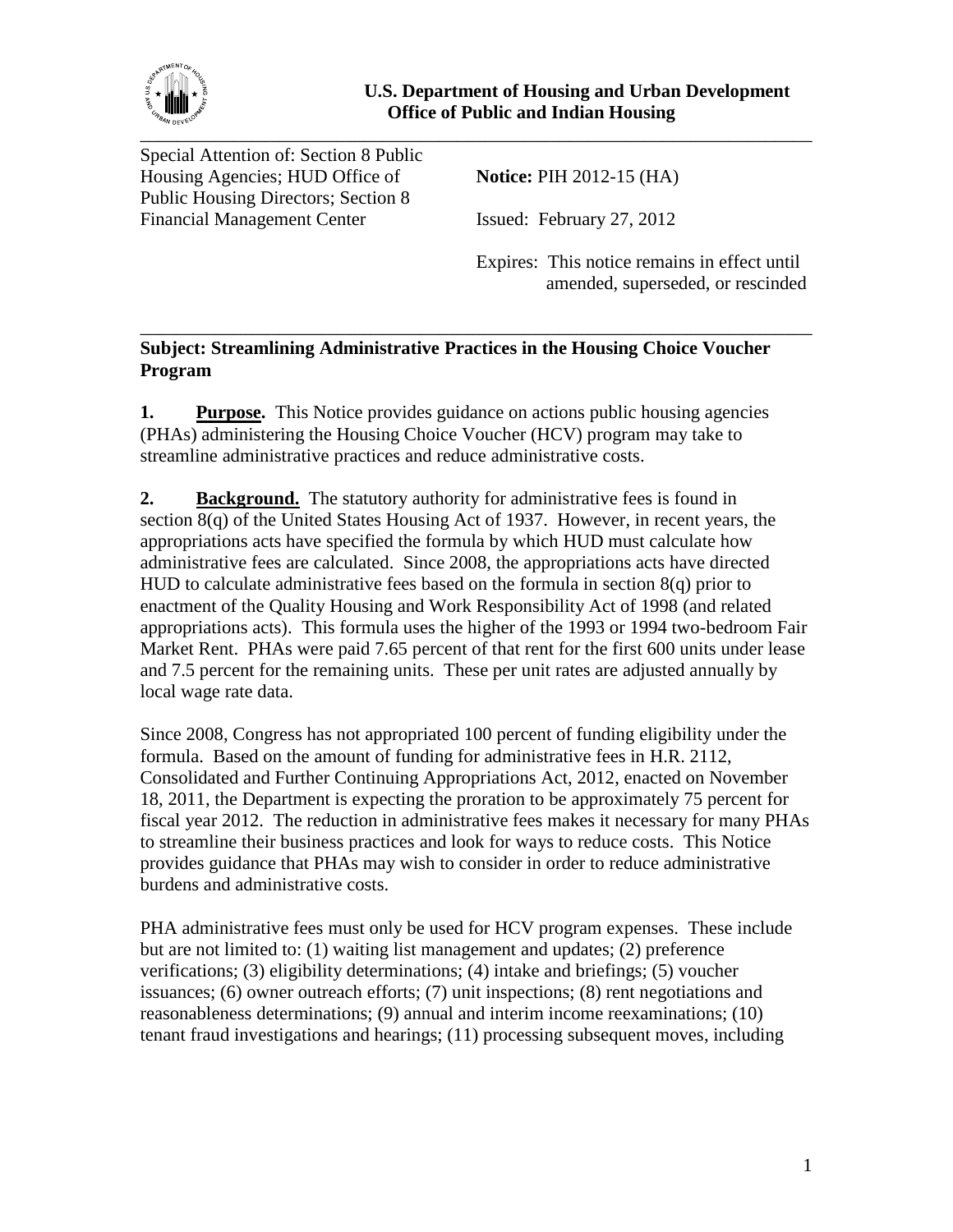

Special Attention of: Section 8 Public Housing Agencies; HUD Office of **Notice:** PIH 2012-15 (HA) Public Housing Directors; Section 8 Financial Management Center Issued: February 27, 2012

Expires: This notice remains in effect until amended, superseded, or rescinded

## \_\_\_\_\_\_\_\_\_\_\_\_\_\_\_\_\_\_\_\_\_\_\_\_\_\_\_\_\_\_\_\_\_\_\_\_\_\_\_\_\_\_\_\_\_\_\_\_\_\_\_\_\_\_\_\_\_\_\_\_\_\_\_\_\_\_\_\_\_\_\_\_ **Subject: Streamlining Administrative Practices in the Housing Choice Voucher Program**

**1. Purpose.** This Notice provides guidance on actions public housing agencies (PHAs) administering the Housing Choice Voucher (HCV) program may take to streamline administrative practices and reduce administrative costs.

**2. Background.** The statutory authority for administrative fees is found in section  $8(q)$  of the United States Housing Act of 1937. However, in recent years, the appropriations acts have specified the formula by which HUD must calculate how administrative fees are calculated. Since 2008, the appropriations acts have directed HUD to calculate administrative fees based on the formula in section 8(q) prior to enactment of the Quality Housing and Work Responsibility Act of 1998 (and related appropriations acts). This formula uses the higher of the 1993 or 1994 two-bedroom Fair Market Rent. PHAs were paid 7.65 percent of that rent for the first 600 units under lease and 7.5 percent for the remaining units. These per unit rates are adjusted annually by local wage rate data.

Since 2008, Congress has not appropriated 100 percent of funding eligibility under the formula. Based on the amount of funding for administrative fees in H.R. 2112, Consolidated and Further Continuing Appropriations Act, 2012, enacted on November 18, 2011, the Department is expecting the proration to be approximately 75 percent for fiscal year 2012. The reduction in administrative fees makes it necessary for many PHAs to streamline their business practices and look for ways to reduce costs. This Notice provides guidance that PHAs may wish to consider in order to reduce administrative burdens and administrative costs.

PHA administrative fees must only be used for HCV program expenses. These include but are not limited to: (1) waiting list management and updates; (2) preference verifications; (3) eligibility determinations; (4) intake and briefings; (5) voucher issuances; (6) owner outreach efforts; (7) unit inspections; (8) rent negotiations and reasonableness determinations; (9) annual and interim income reexaminations; (10) tenant fraud investigations and hearings; (11) processing subsequent moves, including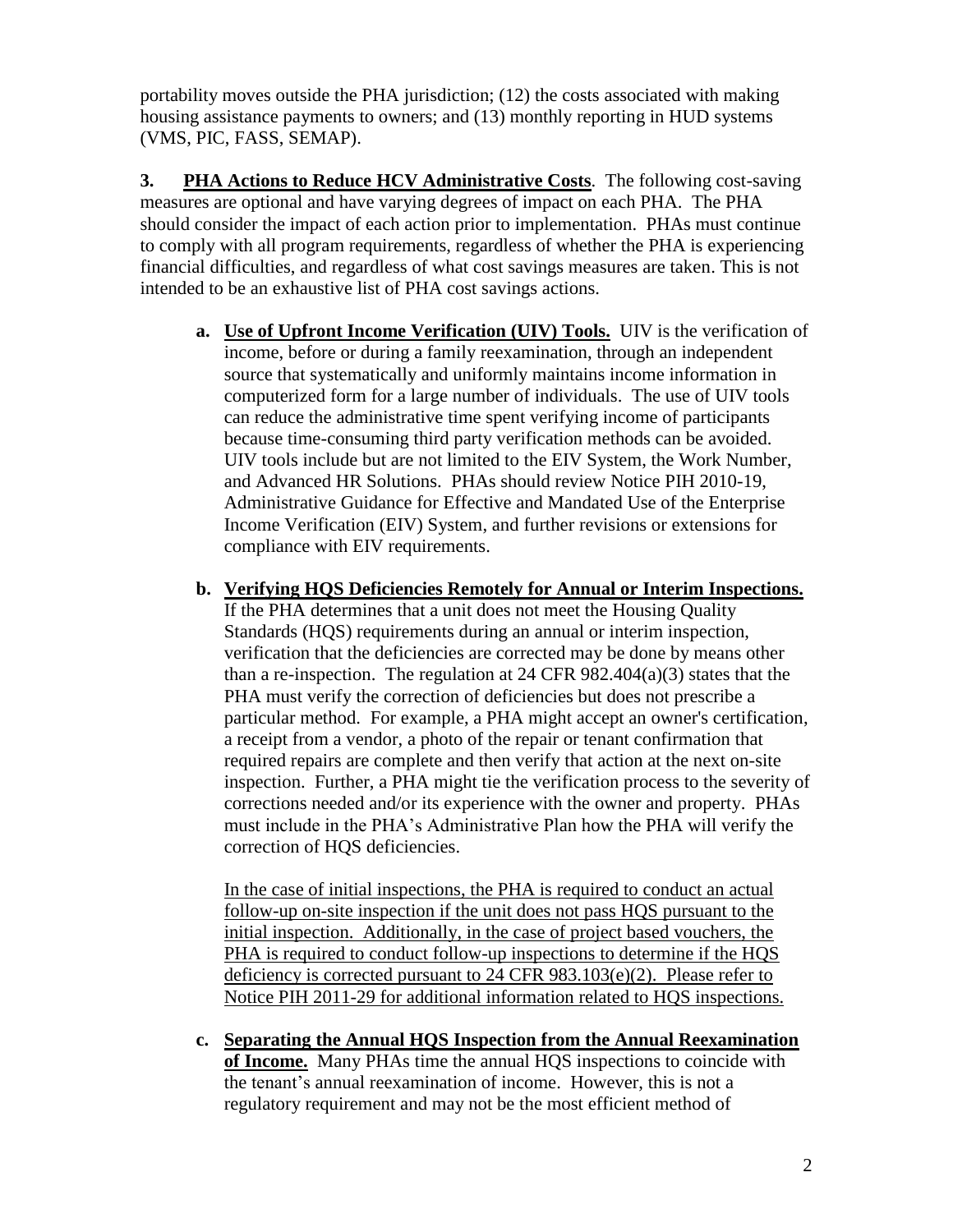portability moves outside the PHA jurisdiction; (12) the costs associated with making housing assistance payments to owners; and (13) monthly reporting in HUD systems (VMS, PIC, FASS, SEMAP).

**3. PHA Actions to Reduce HCV Administrative Costs**. The following cost-saving measures are optional and have varying degrees of impact on each PHA. The PHA should consider the impact of each action prior to implementation. PHAs must continue to comply with all program requirements, regardless of whether the PHA is experiencing financial difficulties, and regardless of what cost savings measures are taken. This is not intended to be an exhaustive list of PHA cost savings actions.

- **a. Use of Upfront Income Verification (UIV) Tools.** UIV is the verification of income, before or during a family reexamination, through an independent source that systematically and uniformly maintains income information in computerized form for a large number of individuals. The use of UIV tools can reduce the administrative time spent verifying income of participants because time-consuming third party verification methods can be avoided. UIV tools include but are not limited to the EIV System, the Work Number, and Advanced HR Solutions. PHAs should review Notice PIH 2010-19, [Administrative Guidance for Effective and Mandated Use of the Enterprise](http://portal.hud.gov/hudportal/documents/huddoc?id=10-19pihn.doc)  [Income Verification \(EIV\) System,](http://portal.hud.gov/hudportal/documents/huddoc?id=10-19pihn.doc) and further revisions or extensions for compliance with EIV requirements.
- **b. Verifying HQS Deficiencies Remotely for Annual or Interim Inspections.**  If the PHA determines that a unit does not meet the Housing Quality Standards (HQS) requirements during an annual or interim inspection, verification that the deficiencies are corrected may be done by means other than a re-inspection. The regulation at 24 CFR  $982.404(a)(3)$  states that the PHA must verify the correction of deficiencies but does not prescribe a particular method. For example, a PHA might accept an owner's certification, a receipt from a vendor, a photo of the repair or tenant confirmation that required repairs are complete and then verify that action at the next on-site inspection. Further, a PHA might tie the verification process to the severity of corrections needed and/or its experience with the owner and property. PHAs must include in the PHA's Administrative Plan how the PHA will verify the correction of HQS deficiencies.

In the case of initial inspections, the PHA is required to conduct an actual follow-up on-site inspection if the unit does not pass HQS pursuant to the initial inspection. Additionally, in the case of project based vouchers, the PHA is required to conduct follow-up inspections to determine if the HQS deficiency is corrected pursuant to 24 CFR 983.103(e)(2). Please refer to Notice PIH 2011-29 for additional information related to HQS inspections.

**c. Separating the Annual HQS Inspection from the Annual Reexamination of Income.** Many PHAs time the annual HQS inspections to coincide with the tenant's annual reexamination of income. However, this is not a regulatory requirement and may not be the most efficient method of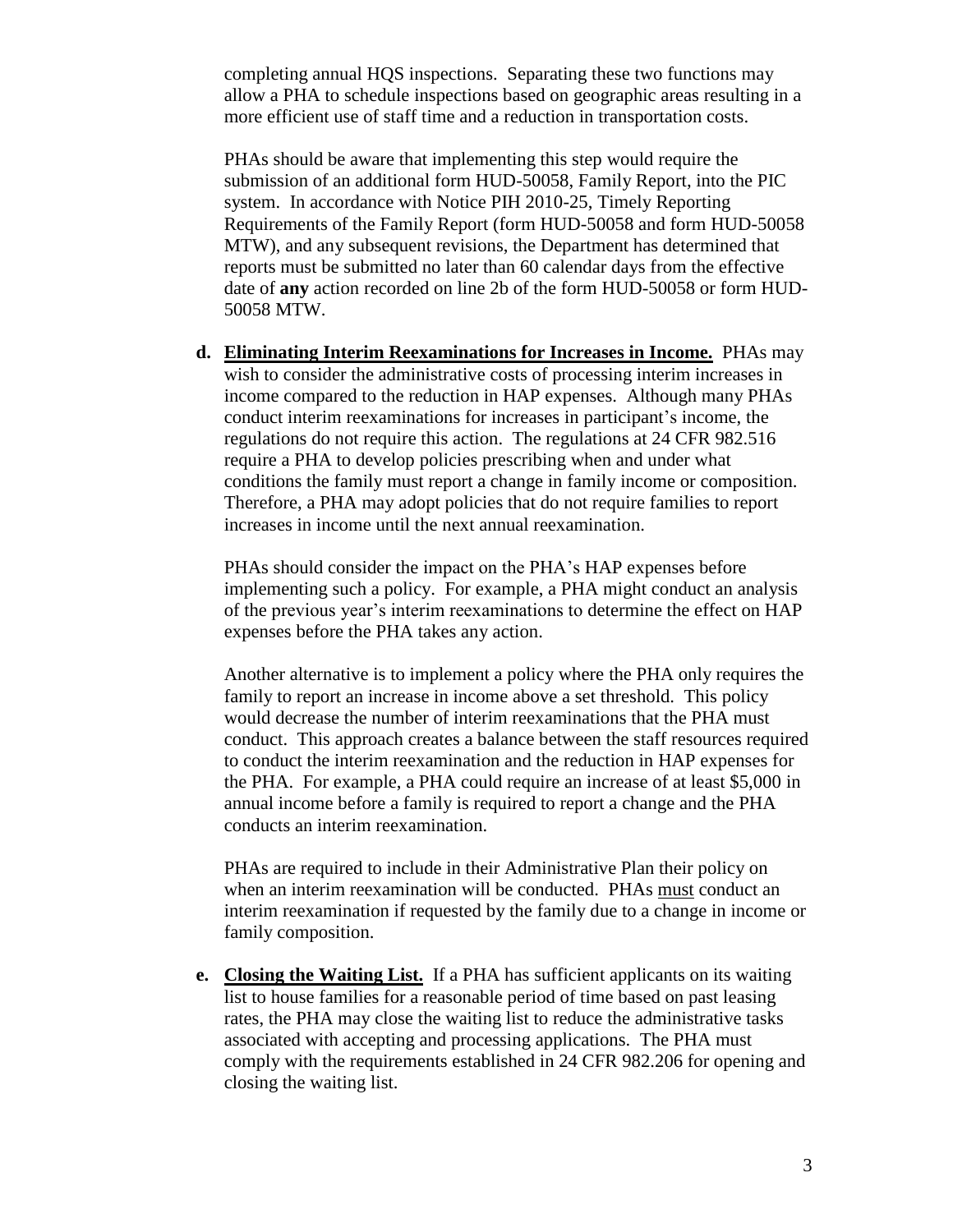completing annual HQS inspections. Separating these two functions may allow a PHA to schedule inspections based on geographic areas resulting in a more efficient use of staff time and a reduction in transportation costs.

PHAs should be aware that implementing this step would require the submission of an additional form HUD-50058, Family Report, into the PIC system. In accordance with Notice PIH 2010-25, Timely Reporting Requirements of the Family Report (form HUD-50058 and form HUD-50058 MTW), and any subsequent revisions, the Department has determined that reports must be submitted no later than 60 calendar days from the effective date of **any** action recorded on line 2b of the form HUD-50058 or form HUD-50058 MTW.

**d. Eliminating Interim Reexaminations for Increases in Income.** PHAs may wish to consider the administrative costs of processing interim increases in income compared to the reduction in HAP expenses. Although many PHAs conduct interim reexaminations for increases in participant's income, the regulations do not require this action. The regulations at 24 CFR 982.516 require a PHA to develop policies prescribing when and under what conditions the family must report a change in family income or composition. Therefore, a PHA may adopt policies that do not require families to report increases in income until the next annual reexamination.

PHAs should consider the impact on the PHA's HAP expenses before implementing such a policy. For example, a PHA might conduct an analysis of the previous year's interim reexaminations to determine the effect on HAP expenses before the PHA takes any action.

Another alternative is to implement a policy where the PHA only requires the family to report an increase in income above a set threshold. This policy would decrease the number of interim reexaminations that the PHA must conduct. This approach creates a balance between the staff resources required to conduct the interim reexamination and the reduction in HAP expenses for the PHA. For example, a PHA could require an increase of at least \$5,000 in annual income before a family is required to report a change and the PHA conducts an interim reexamination.

PHAs are required to include in their Administrative Plan their policy on when an interim reexamination will be conducted. PHAs must conduct an interim reexamination if requested by the family due to a change in income or family composition.

**e. Closing the Waiting List.** If a PHA has sufficient applicants on its waiting list to house families for a reasonable period of time based on past leasing rates, the PHA may close the waiting list to reduce the administrative tasks associated with accepting and processing applications. The PHA must comply with the requirements established in 24 CFR 982.206 for opening and closing the waiting list.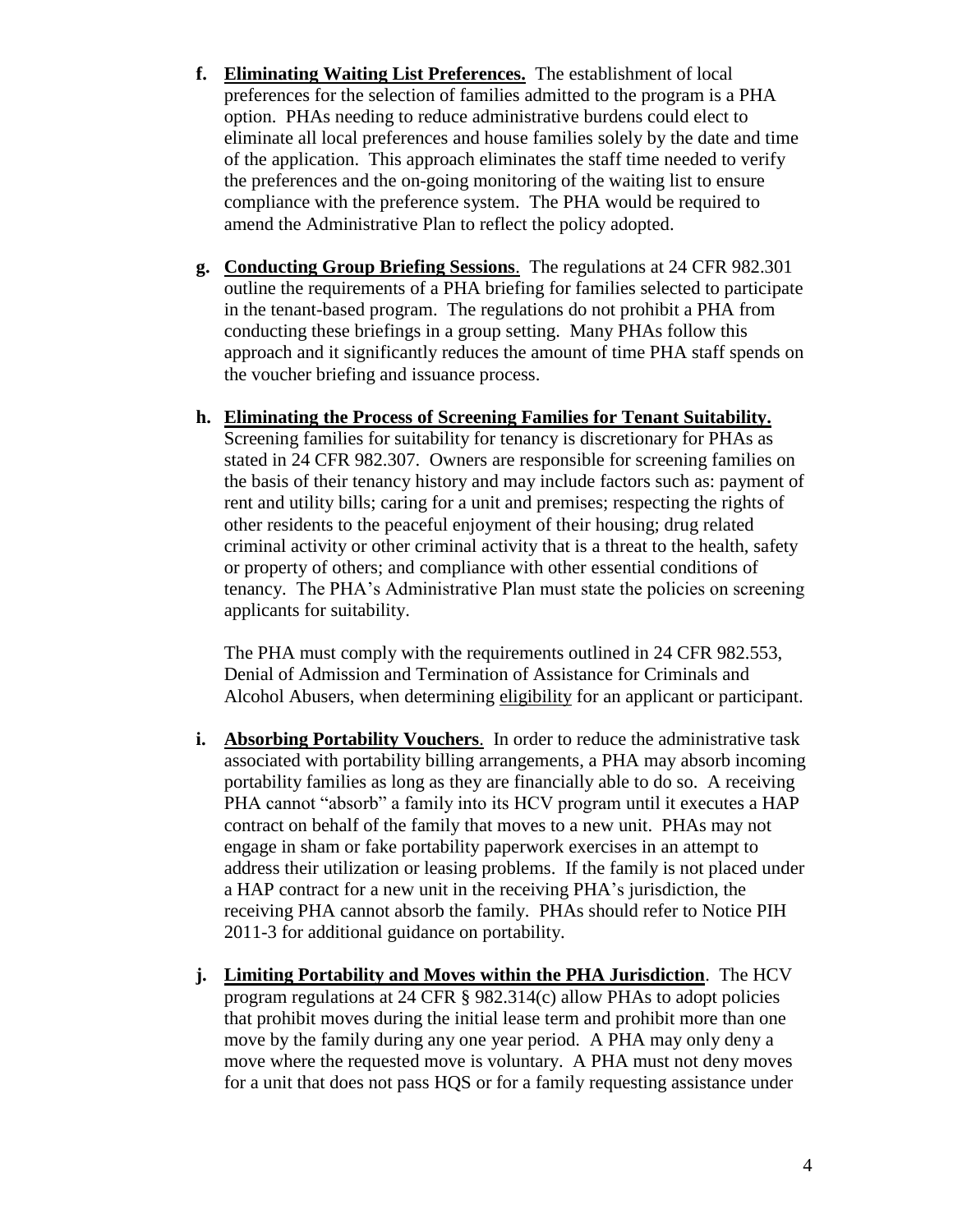- **f. Eliminating Waiting List Preferences.** The establishment of local preferences for the selection of families admitted to the program is a PHA option. PHAs needing to reduce administrative burdens could elect to eliminate all local preferences and house families solely by the date and time of the application. This approach eliminates the staff time needed to verify the preferences and the on-going monitoring of the waiting list to ensure compliance with the preference system. The PHA would be required to amend the Administrative Plan to reflect the policy adopted.
- **g. Conducting Group Briefing Sessions**. The regulations at 24 CFR 982.301 outline the requirements of a PHA briefing for families selected to participate in the tenant-based program. The regulations do not prohibit a PHA from conducting these briefings in a group setting. Many PHAs follow this approach and it significantly reduces the amount of time PHA staff spends on the voucher briefing and issuance process.

## **h. Eliminating the Process of Screening Families for Tenant Suitability.**

Screening families for suitability for tenancy is discretionary for PHAs as stated in 24 CFR 982.307. Owners are responsible for screening families on the basis of their tenancy history and may include factors such as: payment of rent and utility bills; caring for a unit and premises; respecting the rights of other residents to the peaceful enjoyment of their housing; drug related criminal activity or other criminal activity that is a threat to the health, safety or property of others; and compliance with other essential conditions of tenancy. The PHA's Administrative Plan must state the policies on screening applicants for suitability.

The PHA must comply with the requirements outlined in 24 CFR 982.553, Denial of Admission and Termination of Assistance for Criminals and Alcohol Abusers, when determining eligibility for an applicant or participant.

- **i. Absorbing Portability Vouchers**. In order to reduce the administrative task associated with portability billing arrangements, a PHA may absorb incoming portability families as long as they are financially able to do so. A receiving PHA cannot "absorb" a family into its HCV program until it executes a HAP contract on behalf of the family that moves to a new unit. PHAs may not engage in sham or fake portability paperwork exercises in an attempt to address their utilization or leasing problems. If the family is not placed under a HAP contract for a new unit in the receiving PHA's jurisdiction, the receiving PHA cannot absorb the family. PHAs should refer to Notice PIH 2011-3 for additional guidance on portability.
- **j. Limiting Portability and Moves within the PHA Jurisdiction**. The HCV program regulations at 24 CFR § 982.314(c) allow PHAs to adopt policies that prohibit moves during the initial lease term and prohibit more than one move by the family during any one year period. A PHA may only deny a move where the requested move is voluntary. A PHA must not deny moves for a unit that does not pass HQS or for a family requesting assistance under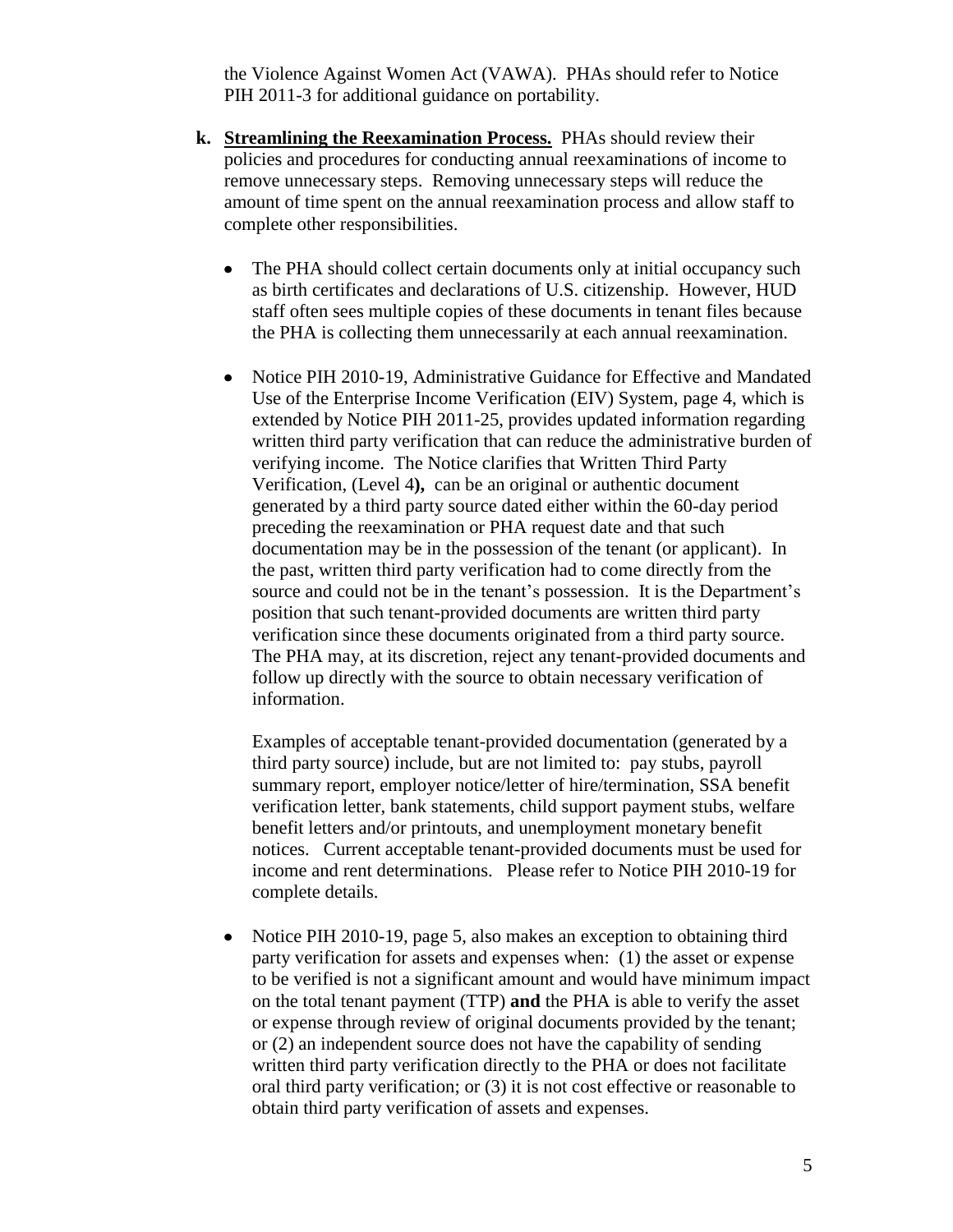the Violence Against Women Act (VAWA). PHAs should refer to Notice PIH 2011-3 for additional guidance on portability.

- **k. Streamlining the Reexamination Process.** PHAs should review their policies and procedures for conducting annual reexaminations of income to remove unnecessary steps. Removing unnecessary steps will reduce the amount of time spent on the annual reexamination process and allow staff to complete other responsibilities.
	- The PHA should collect certain documents only at initial occupancy such  $\bullet$ as birth certificates and declarations of U.S. citizenship. However, HUD staff often sees multiple copies of these documents in tenant files because the PHA is collecting them unnecessarily at each annual reexamination.
	- Notice PIH 2010-19, Administrative Guidance for Effective and Mandated Use of the Enterprise Income Verification (EIV) System, page 4, which is extended by Notice PIH 2011-25, provides updated information regarding written third party verification that can reduce the administrative burden of verifying income. The Notice clarifies that Written Third Party Verification, (Level 4**),** can be an original or authentic document generated by a third party source dated either within the 60-day period preceding the reexamination or PHA request date and that such documentation may be in the possession of the tenant (or applicant). In the past, written third party verification had to come directly from the source and could not be in the tenant's possession. It is the Department's position that such tenant-provided documents are written third party verification since these documents originated from a third party source. The PHA may, at its discretion, reject any tenant-provided documents and follow up directly with the source to obtain necessary verification of information.

Examples of acceptable tenant-provided documentation (generated by a third party source) include, but are not limited to: pay stubs, payroll summary report, employer notice/letter of hire/termination, SSA benefit verification letter, bank statements, child support payment stubs, welfare benefit letters and/or printouts, and unemployment monetary benefit notices. Current acceptable tenant-provided documents must be used for income and rent determinations. Please refer to Notice PIH 2010-19 for complete details.

Notice PIH 2010-19, page 5, also makes an exception to obtaining third  $\bullet$ party verification for assets and expenses when: (1) the asset or expense to be verified is not a significant amount and would have minimum impact on the total tenant payment (TTP) **and** the PHA is able to verify the asset or expense through review of original documents provided by the tenant; or (2) an independent source does not have the capability of sending written third party verification directly to the PHA or does not facilitate oral third party verification; or (3) it is not cost effective or reasonable to obtain third party verification of assets and expenses.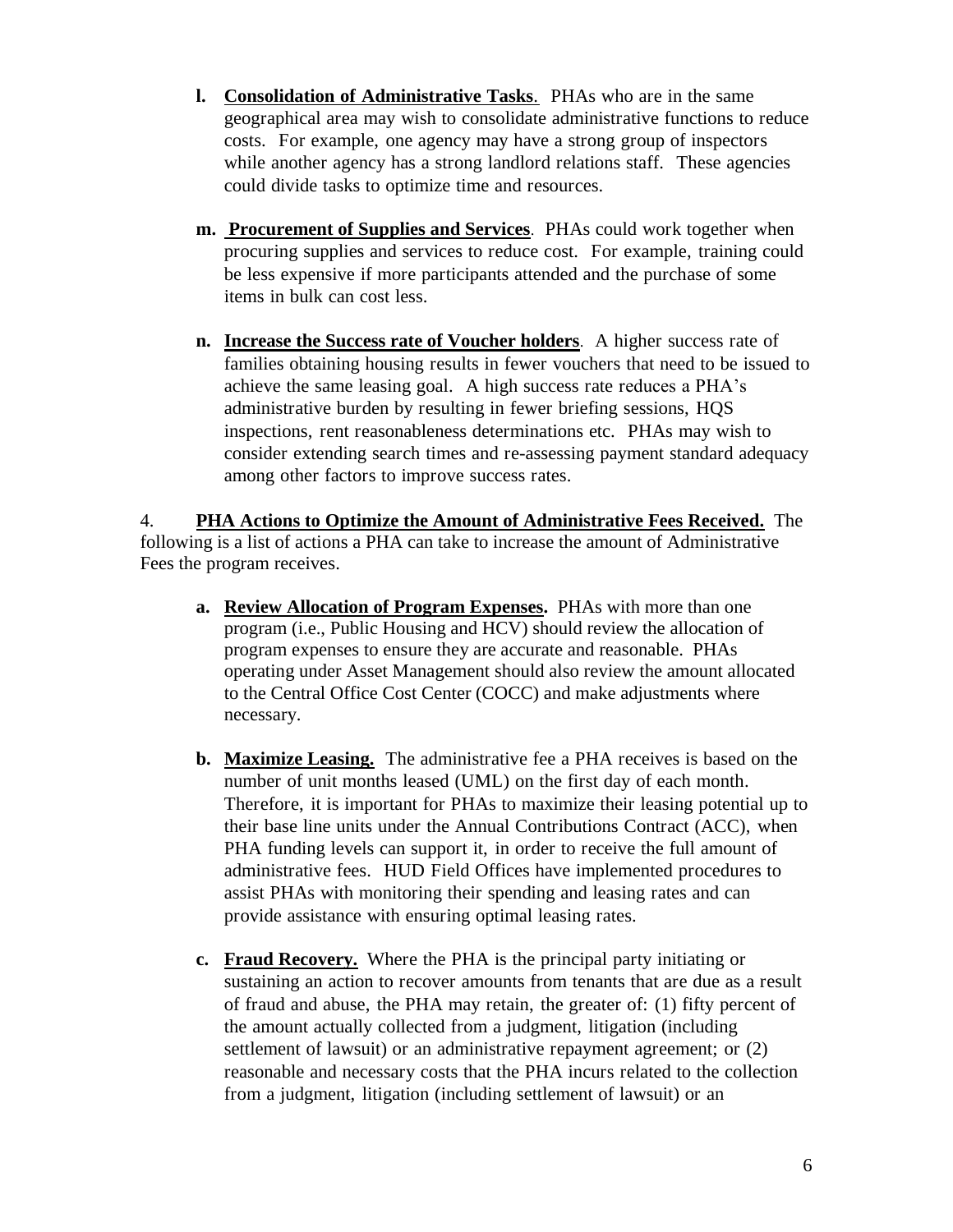- **l. Consolidation of Administrative Tasks**. PHAs who are in the same geographical area may wish to consolidate administrative functions to reduce costs. For example, one agency may have a strong group of inspectors while another agency has a strong landlord relations staff. These agencies could divide tasks to optimize time and resources.
- **m. Procurement of Supplies and Services**. PHAs could work together when procuring supplies and services to reduce cost. For example, training could be less expensive if more participants attended and the purchase of some items in bulk can cost less.
- **n. Increase the Success rate of Voucher holders**. A higher success rate of families obtaining housing results in fewer vouchers that need to be issued to achieve the same leasing goal. A high success rate reduces a PHA's administrative burden by resulting in fewer briefing sessions, HQS inspections, rent reasonableness determinations etc. PHAs may wish to consider extending search times and re-assessing payment standard adequacy among other factors to improve success rates.

4. **PHA Actions to Optimize the Amount of Administrative Fees Received.** The following is a list of actions a PHA can take to increase the amount of Administrative Fees the program receives.

- **a. Review Allocation of Program Expenses.** PHAs with more than one program (i.e., Public Housing and HCV) should review the allocation of program expenses to ensure they are accurate and reasonable. PHAs operating under Asset Management should also review the amount allocated to the Central Office Cost Center (COCC) and make adjustments where necessary.
- **b. Maximize Leasing.** The administrative fee a PHA receives is based on the number of unit months leased (UML) on the first day of each month. Therefore, it is important for PHAs to maximize their leasing potential up to their base line units under the Annual Contributions Contract (ACC), when PHA funding levels can support it, in order to receive the full amount of administrative fees. HUD Field Offices have implemented procedures to assist PHAs with monitoring their spending and leasing rates and can provide assistance with ensuring optimal leasing rates.
- **c. Fraud Recovery.** Where the PHA is the principal party initiating or sustaining an action to recover amounts from tenants that are due as a result of fraud and abuse, the PHA may retain, the greater of: (1) fifty percent of the amount actually collected from a judgment, litigation (including settlement of lawsuit) or an administrative repayment agreement; or (2) reasonable and necessary costs that the PHA incurs related to the collection from a judgment, litigation (including settlement of lawsuit) or an